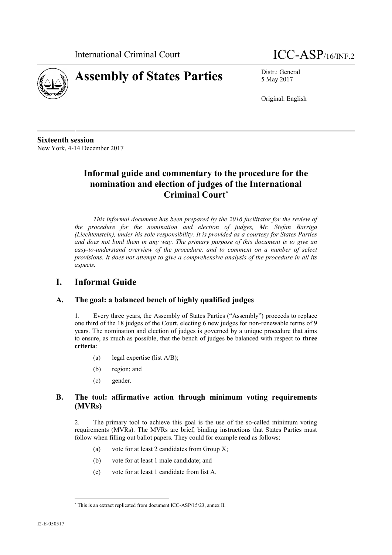



5 May 2017

Original: English

**Sixteenth session** New York, 4-14 December 2017

# **Informal guide and commentary to the procedure for the nomination and election of judges of the International Criminal Court**

*This informal document has been prepared by the 2016 facilitator for the review of the procedure for the nomination and election of judges, Mr. Stefan Barriga (Liechtenstein), under his sole responsibility. It is provided as a courtesy for States Parties and does not bind them in any way. The primary purpose of this document is to give an easy-to-understand overview of the procedure, and to comment on a number of select provisions. It does not attempt to give a comprehensive analysis of the procedure in all its aspects.*

# **I. Informal Guide**

## **A. The goal: a balanced bench of highly qualified judges**

1. Every three years, the Assembly of States Parties ("Assembly") proceeds to replace one third of the 18 judges of the Court, electing 6 new judges for non-renewable terms of 9 years. The nomination and election of judges is governed by a unique procedure that aims to ensure, as much as possible, that the bench of judges be balanced with respect to **three criteria**:

- (a) legal expertise (list A/B);
- (b) region; and
- (c) gender.

## **B. The tool: affirmative action through minimum voting requirements (MVRs)**

2. The primary tool to achieve this goal is the use of the so-called minimum voting requirements (MVRs). The MVRs are brief, binding instructions that States Parties must follow when filling out ballot papers. They could for example read as follows:

- (a) vote for at least 2 candidates from Group X;
- (b) vote for at least 1 male candidate; and
- (c) vote for at least 1 candidate from list A.

This is an extract replicated from document ICC-ASP/15/23, annex II.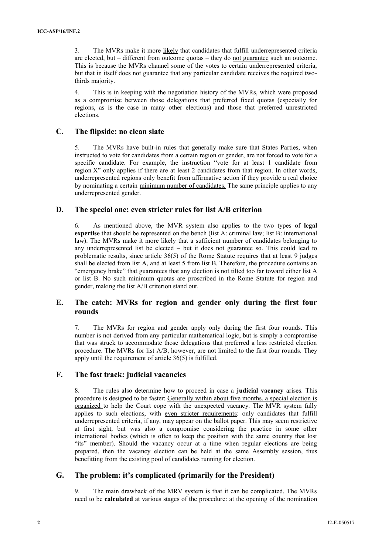3. The MVRs make it more likely that candidates that fulfill underrepresented criteria are elected, but – different from outcome quotas – they do not guarantee such an outcome. This is because the MVRs channel some of the votes to certain underrepresented criteria, but that in itself does not guarantee that any particular candidate receives the required twothirds majority.

4. This is in keeping with the negotiation history of the MVRs, which were proposed as a compromise between those delegations that preferred fixed quotas (especially for regions, as is the case in many other elections) and those that preferred unrestricted elections.

#### **C. The flipside: no clean slate**

5. The MVRs have built-in rules that generally make sure that States Parties, when instructed to vote for candidates from a certain region or gender, are not forced to vote for a specific candidate. For example, the instruction "vote for at least 1 candidate from region X" only applies if there are at least 2 candidates from that region. In other words, underrepresented regions only benefit from affirmative action if they provide a real choice by nominating a certain minimum number of candidates. The same principle applies to any underrepresented gender.

#### **D. The special one: even stricter rules for list A/B criterion**

6. As mentioned above, the MVR system also applies to the two types of **legal expertise** that should be represented on the bench (list A: criminal law; list B: international law). The MVRs make it more likely that a sufficient number of candidates belonging to any underrepresented list be elected – but it does not guarantee so. This could lead to problematic results, since article 36(5) of the Rome Statute requires that at least 9 judges shall be elected from list A, and at least 5 from list B. Therefore, the procedure contains an "emergency brake" that guarantees that any election is not tilted too far toward either list A or list B. No such minimum quotas are proscribed in the Rome Statute for region and gender, making the list A/B criterion stand out.

## **E. The catch: MVRs for region and gender only during the first four rounds**

7. The MVRs for region and gender apply only during the first four rounds. This number is not derived from any particular mathematical logic, but is simply a compromise that was struck to accommodate those delegations that preferred a less restricted election procedure. The MVRs for list A/B, however, are not limited to the first four rounds. They apply until the requirement of article 36(5) is fulfilled.

#### **F. The fast track: judicial vacancies**

8. The rules also determine how to proceed in case a **judicial vacancy** arises. This procedure is designed to be faster: Generally within about five months, a special election is organized to help the Court cope with the unexpected vacancy. The MVR system fully applies to such elections, with even stricter requirements: only candidates that fulfill underrepresented criteria, if any, may appear on the ballot paper. This may seem restrictive at first sight, but was also a compromise considering the practice in some other international bodies (which is often to keep the position with the same country that lost "its" member). Should the vacancy occur at a time when regular elections are being prepared, then the vacancy election can be held at the same Assembly session, thus benefitting from the existing pool of candidates running for election.

#### **G. The problem: it's complicated (primarily for the President)**

9. The main drawback of the MRV system is that it can be complicated. The MVRs need to be **calculated** at various stages of the procedure: at the opening of the nomination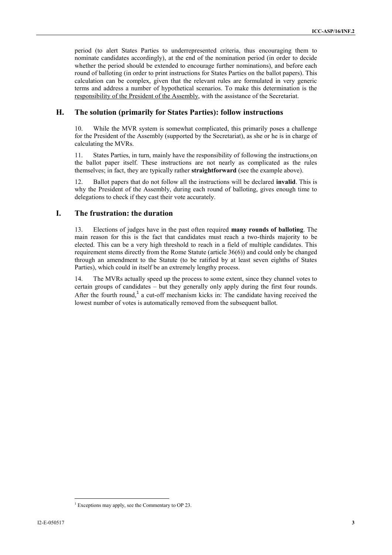period (to alert States Parties to underrepresented criteria, thus encouraging them to nominate candidates accordingly), at the end of the nomination period (in order to decide whether the period should be extended to encourage further nominations), and before each round of balloting (in order to print instructions for States Parties on the ballot papers). This calculation can be complex, given that the relevant rules are formulated in very generic terms and address a number of hypothetical scenarios. To make this determination is the responsibility of the President of the Assembly, with the assistance of the Secretariat.

#### **H. The solution (primarily for States Parties): follow instructions**

10. While the MVR system is somewhat complicated, this primarily poses a challenge for the President of the Assembly (supported by the Secretariat), as she or he is in charge of calculating the MVRs.

11. States Parties, in turn, mainly have the responsibility of following the instructions on the ballot paper itself. These instructions are not nearly as complicated as the rules themselves; in fact, they are typically rather **straightforward** (see the example above).

12. Ballot papers that do not follow all the instructions will be declared **invalid**. This is why the President of the Assembly, during each round of balloting, gives enough time to delegations to check if they cast their vote accurately.

## **I. The frustration: the duration**

13. Elections of judges have in the past often required **many rounds of balloting**. The main reason for this is the fact that candidates must reach a two-thirds majority to be elected. This can be a very high threshold to reach in a field of multiple candidates. This requirement stems directly from the Rome Statute (article 36(6)) and could only be changed through an amendment to the Statute (to be ratified by at least seven eighths of States Parties), which could in itself be an extremely lengthy process.

14. The MVRs actually speed up the process to some extent, since they channel votes to certain groups of candidates – but they generally only apply during the first four rounds. After the fourth round,<sup>1</sup> a cut-off mechanism kicks in: The candidate having received the lowest number of votes is automatically removed from the subsequent ballot.

 $1$  Exceptions may apply, see the Commentary to OP 23.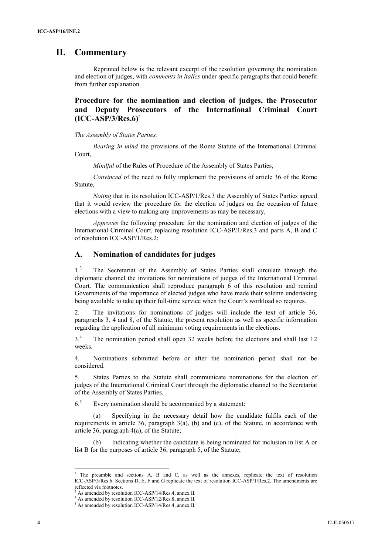# **II. Commentary**

Reprinted below is the relevant excerpt of the resolution governing the nomination and election of judges, with *comments in italics* under specific paragraphs that could benefit from further explanation.

## **Procedure for the nomination and election of judges, the Prosecutor and Deputy Prosecutors of the International Criminal Court (ICC-ASP/3/Res.6)**<sup>2</sup>

*The Assembly of States Parties,*

*Bearing in mind* the provisions of the Rome Statute of the International Criminal Court,

*Mindful* of the Rules of Procedure of the Assembly of States Parties,

*Convinced* of the need to fully implement the provisions of article 36 of the Rome Statute,

*Noting* that in its resolution ICC-ASP/1/Res.3 the Assembly of States Parties agreed that it would review the procedure for the election of judges on the occasion of future elections with a view to making any improvements as may be necessary,

*Approves* the following procedure for the nomination and election of judges of the International Criminal Court, replacing resolution ICC-ASP/1/Res.3 and parts A, B and C of resolution ICC-ASP/1/Res.2:

#### **A. Nomination of candidates for judges**

1.<sup>3</sup> The Secretariat of the Assembly of States Parties shall circulate through the diplomatic channel the invitations for nominations of judges of the International Criminal Court. The communication shall reproduce paragraph 6 of this resolution and remind Governments of the importance of elected judges who have made their solemn undertaking being available to take up their full-time service when the Court's workload so requires.

2. The invitations for nominations of judges will include the text of article 36, paragraphs 3, 4 and 8, of the Statute, the present resolution as well as specific information regarding the application of all minimum voting requirements in the elections.

3.<sup>4</sup> The nomination period shall open 32 weeks before the elections and shall last 12 weeks.

4. Nominations submitted before or after the nomination period shall not be considered.

5. States Parties to the Statute shall communicate nominations for the election of judges of the International Criminal Court through the diplomatic channel to the Secretariat of the Assembly of States Parties.

 $6<sup>5</sup>$  Every nomination should be accompanied by a statement:

(a) Specifying in the necessary detail how the candidate fulfils each of the requirements in article 36, paragraph  $3(a)$ , (b) and (c), of the Statute, in accordance with article 36, paragraph 4(a), of the Statute;

Indicating whether the candidate is being nominated for inclusion in list A or list B for the purposes of article 36, paragraph 5, of the Statute;

<sup>&</sup>lt;sup>2</sup> The preamble and sections A, B and C, as well as the annexes, replicate the text of resolution ICC-ASP/3/Res.6. Sections D, E, F and G replicate the text of resolution ICC-ASP/1/Res.2. The amendments are reflected via footnotes.

<sup>3</sup> As amended by resolution ICC-ASP/14/Res.4, annex II.

<sup>4</sup> As amended by resolution ICC-ASP/12/Res.8, annex II. <sup>5</sup> As amended by resolution ICC-ASP/14/Res.4, annex II.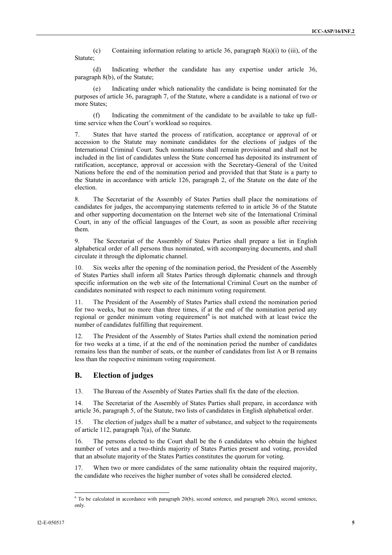(c) Containing information relating to article 36, paragraph 8(a)(i) to (iii), of the Statute;

(d) Indicating whether the candidate has any expertise under article 36, paragraph 8(b), of the Statute;

(e) Indicating under which nationality the candidate is being nominated for the purposes of article 36, paragraph 7, of the Statute, where a candidate is a national of two or more States;

(f) Indicating the commitment of the candidate to be available to take up fulltime service when the Court's workload so requires.

7. States that have started the process of ratification, acceptance or approval of or accession to the Statute may nominate candidates for the elections of judges of the International Criminal Court. Such nominations shall remain provisional and shall not be included in the list of candidates unless the State concerned has deposited its instrument of ratification, acceptance, approval or accession with the Secretary-General of the United Nations before the end of the nomination period and provided that that State is a party to the Statute in accordance with article 126, paragraph 2, of the Statute on the date of the election.

8. The Secretariat of the Assembly of States Parties shall place the nominations of candidates for judges, the accompanying statements referred to in article 36 of the Statute and other supporting documentation on the Internet web site of the International Criminal Court, in any of the official languages of the Court, as soon as possible after receiving them.

9. The Secretariat of the Assembly of States Parties shall prepare a list in English alphabetical order of all persons thus nominated, with accompanying documents, and shall circulate it through the diplomatic channel.

10. Six weeks after the opening of the nomination period, the President of the Assembly of States Parties shall inform all States Parties through diplomatic channels and through specific information on the web site of the International Criminal Court on the number of candidates nominated with respect to each minimum voting requirement.

11. The President of the Assembly of States Parties shall extend the nomination period for two weeks, but no more than three times, if at the end of the nomination period any regional or gender minimum voting requirement<sup>6</sup> is not matched with at least twice the number of candidates fulfilling that requirement.

12. The President of the Assembly of States Parties shall extend the nomination period for two weeks at a time, if at the end of the nomination period the number of candidates remains less than the number of seats, or the number of candidates from list A or B remains less than the respective minimum voting requirement.

#### **B. Election of judges**

13. The Bureau of the Assembly of States Parties shall fix the date of the election.

14. The Secretariat of the Assembly of States Parties shall prepare, in accordance with article 36, paragraph 5, of the Statute, two lists of candidates in English alphabetical order.

15. The election of judges shall be a matter of substance, and subject to the requirements of article 112, paragraph 7(a), of the Statute.

16. The persons elected to the Court shall be the 6 candidates who obtain the highest number of votes and a two-thirds majority of States Parties present and voting, provided that an absolute majority of the States Parties constitutes the quorum for voting.

17. When two or more candidates of the same nationality obtain the required majority, the candidate who receives the higher number of votes shall be considered elected.

 $6$  To be calculated in accordance with paragraph 20(b), second sentence, and paragraph 20(c), second sentence, only.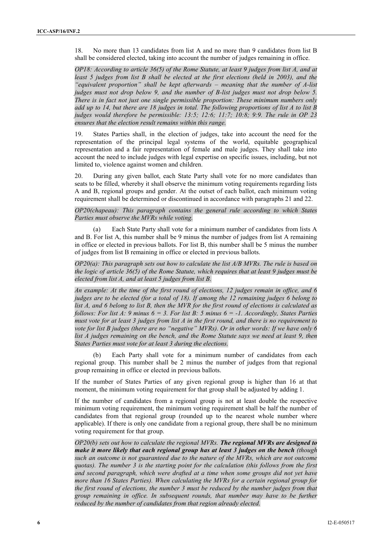18. No more than 13 candidates from list A and no more than 9 candidates from list B shall be considered elected, taking into account the number of judges remaining in office.

*OP18: According to article 36(5) of the Rome Statute, at least 9 judges from list A, and at least 5 judges from list B shall be elected at the first elections (held in 2003), and the "equivalent proportion" shall be kept afterwards – meaning that the number of A-list judges must not drop below 9, and the number of B-list judges must not drop below 5. There is in fact not just one single permissible proportion: These minimum numbers only add up to 14, but there are 18 judges in total. The following proportions of list A to list B judges would therefore be permissible: 13:5; 12:6; 11:7; 10:8; 9:9. The rule in OP 23 ensures that the election result remains within this range.*

19. States Parties shall, in the election of judges, take into account the need for the representation of the principal legal systems of the world, equitable geographical representation and a fair representation of female and male judges. They shall take into account the need to include judges with legal expertise on specific issues, including, but not limited to, violence against women and children.

20. During any given ballot, each State Party shall vote for no more candidates than seats to be filled, whereby it shall observe the minimum voting requirements regarding lists A and B, regional groups and gender. At the outset of each ballot, each minimum voting requirement shall be determined or discontinued in accordance with paragraphs 21 and 22.

#### *OP20(chapeau): This paragraph contains the general rule according to which States Parties must observe the MVRs while voting.*

(a) Each State Party shall vote for a minimum number of candidates from lists A and B. For list A, this number shall be 9 minus the number of judges from list A remaining in office or elected in previous ballots. For list B, this number shall be 5 minus the number of judges from list B remaining in office or elected in previous ballots.

*OP20(a): This paragraph sets out how to calculate the list A/B MVRs. The rule is based on the logic of article 36(5) of the Rome Statute, which requires that at least 9 judges must be elected from list A, and at least 5 judges from list B.*

*An example: At the time of the first round of elections, 12 judges remain in office, and 6 judges are to be elected (for a total of 18). If among the 12 remaining judges 6 belong to list A, and 6 belong to list B, then the MVR for the first round of elections is calculated as follows: For list A: 9 minus 6 = 3. For list B: 5 minus 6 = -1. Accordingly, States Parties must vote for at least 3 judges from list A in the first round, and there is no requirement to vote for list B judges (there are no "negative" MVRs). Or in other words: If we have only 6 list A judges remaining on the bench, and the Rome Statute says we need at least 9, then States Parties must vote for at least 3 during the elections.*

(b) Each Party shall vote for a minimum number of candidates from each regional group. This number shall be 2 minus the number of judges from that regional group remaining in office or elected in previous ballots.

If the number of States Parties of any given regional group is higher than 16 at that moment, the minimum voting requirement for that group shall be adjusted by adding 1.

If the number of candidates from a regional group is not at least double the respective minimum voting requirement, the minimum voting requirement shall be half the number of candidates from that regional group (rounded up to the nearest whole number where applicable). If there is only one candidate from a regional group, there shall be no minimum voting requirement for that group.

*OP20(b) sets out how to calculate the regional MVRs. The regional MVRs are designed to make it more likely that each regional group has at least 3 judges on the bench (though such an outcome is not guaranteed due to the nature of the MVRs, which are not outcome quotas). The number 3 is the starting point for the calculation (this follows from the first and second paragraph, which were drafted at a time when some groups did not yet have more than 16 States Parties). When calculating the MVRs for a certain regional group for the first round of elections, the number 3 must be reduced by the number judges from that group remaining in office. In subsequent rounds, that number may have to be further reduced by the number of candidates from that region already elected.*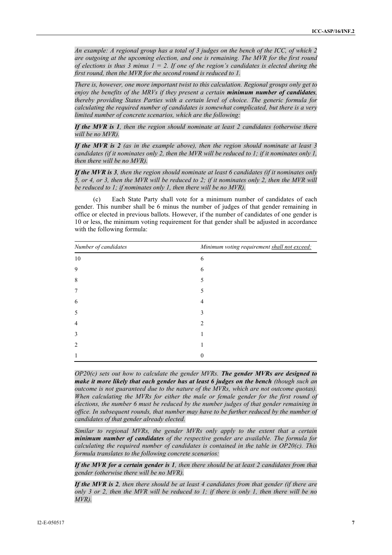*An example: A regional group has a total of 3 judges on the bench of the ICC, of which 2 are outgoing at the upcoming election, and one is remaining. The MVR for the first round of elections is thus 3 minus*  $1 = 2$ *. If one of the region's candidates is elected during the first round, then the MVR for the second round is reduced to 1.*

*There is, however, one more important twist to this calculation. Regional groups only get to enjoy the benefits of the MRVs if they present a certain minimum number of candidates, thereby providing States Parties with a certain level of choice. The generic formula for calculating the required number of candidates is somewhat complicated, but there is a very limited number of concrete scenarios, which are the following:*

*If the MVR is 1, then the region should nominate at least 2 candidates (otherwise there will be no MVR).*

*If the MVR is 2 (as in the example above), then the region should nominate at least 3 candidates (if it nominates only 2, then the MVR will be reduced to 1; if it nominates only 1, then there will be no MVR).*

*If the MVR is 3, then the region should nominate at least 6 candidates (if it nominates only 5, or 4, or 3, then the MVR will be reduced to 2; if it nominates only 2, then the MVR will be reduced to 1; if nominates only 1, then there will be no MVR).*

(c) Each State Party shall vote for a minimum number of candidates of each gender. This number shall be 6 minus the number of judges of that gender remaining in office or elected in previous ballots. However, if the number of candidates of one gender is 10 or less, the minimum voting requirement for that gender shall be adjusted in accordance with the following formula:

| Number of candidates | Minimum voting requirement shall not exceed: |
|----------------------|----------------------------------------------|
| 10                   | 6                                            |
| 9                    | 6                                            |
| 8                    |                                              |
| 7                    |                                              |
| 6                    |                                              |
| 5                    |                                              |
| 4                    |                                              |
| 3                    |                                              |
| $\mathcal{L}$        |                                              |
|                      |                                              |

*OP20(c) sets out how to calculate the gender MVRs. The gender MVRs are designed to make it more likely that each gender has at least 6 judges on the bench (though such an outcome is not guaranteed due to the nature of the MVRs, which are not outcome quotas). When calculating the MVRs for either the male or female gender for the first round of elections, the number 6 must be reduced by the number judges of that gender remaining in office. In subsequent rounds, that number may have to be further reduced by the number of candidates of that gender already elected.*

*Similar to regional MVRs, the gender MVRs only apply to the extent that a certain minimum number of candidates of the respective gender are available. The formula for calculating the required number of candidates is contained in the table in OP20(c). This formula translates to the following concrete scenarios:*

*If the MVR for a certain gender is 1, then there should be at least 2 candidates from that gender (otherwise there will be no MVR).*

*If the MVR is 2, then there should be at least 4 candidates from that gender (if there are only 3 or 2, then the MVR will be reduced to 1; if there is only 1, then there will be no MVR).*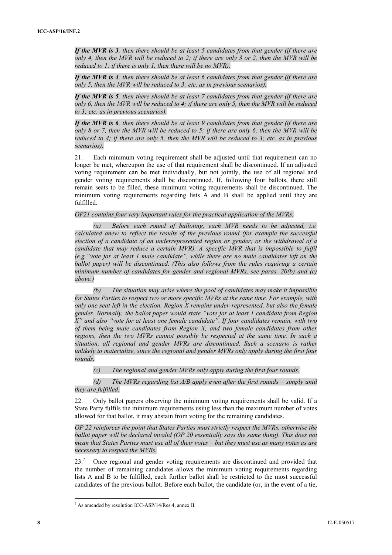*If the MVR is 3, then there should be at least 5 candidates from that gender (if there are only 4, then the MVR will be reduced to 2; if there are only 3 or 2, then the MVR will be reduced to 1; if there is only 1, then there will be no MVR).*

*If the MVR is 4, then there should be at least 6 candidates from that gender (if there are only 5, then the MVR will be reduced to 3; etc. as in previous scenarios).*

*If the MVR is 5, then there should be at least 7 candidates from that gender (if there are only 6, then the MVR will be reduced to 4; if there are only 5, then the MVR will be reduced to 3; etc. as in previous scenarios).*

*If the MVR is 6, then there should be at least 9 candidates from that gender (if there are only 8 or 7, then the MVR will be reduced to 5; if there are only 6, then the MVR will be reduced to 4; if there are only 5, then the MVR will be reduced to 3; etc. as in previous scenarios).*

21. Each minimum voting requirement shall be adjusted until that requirement can no longer be met, whereupon the use of that requirement shall be discontinued. If an adjusted voting requirement can be met individually, but not jointly, the use of all regional and gender voting requirements shall be discontinued. If, following four ballots, there still remain seats to be filled, these minimum voting requirements shall be discontinued. The minimum voting requirements regarding lists A and B shall be applied until they are fulfilled.

*OP21 contains four very important rules for the practical application of the MVRs.*

*(a) Before each round of balloting, each MVR needs to be adjusted, i.e. calculated anew to reflect the results of the previous round (for example the successful election of a candidate of an underrepresented region or gender; or the withdrawal of a candidate that may reduce a certain MVR). A specific MVR that is impossible to fulfil (e.g."vote for at least 1 male candidate", while there are no male candidates left on the ballot paper) will be discontinued. (This also follows from the rules requiring a certain minimum number of candidates for gender and regional MVRs, see paras. 20(b) and (c) above.)*

*(b) The situation may arise where the pool of candidates may make it impossible for States Parties to respect two or more specific MVRs at the same time. For example, with only one seat left in the election, Region X remains under-represented, but also the female gender. Normally, the ballot paper would state "vote for at least 1 candidate from Region X" and also "vote for at least one female candidate". If four candidates remain, with two of them being male candidates from Region X, and two female candidates from other regions, then the two MVRs cannot possibly be respected at the same time. In such a situation, all regional and gender MVRs are discontinued. Such a scenario is rather unlikely to materialize, since the regional and gender MVRs only apply during the first four rounds.*

*(c) The regional and gender MVRs only apply during the first four rounds.*

*(d) The MVRs regarding list A/B apply even after the first rounds – simply until they are fulfilled.*

22. Only ballot papers observing the minimum voting requirements shall be valid. If a State Party fulfils the minimum requirements using less than the maximum number of votes allowed for that ballot, it may abstain from voting for the remaining candidates.

*OP 22 reinforces the point that States Parties must strictly respect the MVRs, otherwise the ballot paper will be declared invalid (OP 20 essentially says the same thing). This does not mean that States Parties must use all of their votes – but they must use as many votes as are necessary to respect the MVRs.*

23.<sup>7</sup> Once regional and gender voting requirements are discontinued and provided that the number of remaining candidates allows the minimum voting requirements regarding lists A and B to be fulfilled, each further ballot shall be restricted to the most successful candidates of the previous ballot. Before each ballot, the candidate (or, in the event of a tie,

<sup>7</sup> As amended by resolution ICC-ASP/14/Res.4, annex II.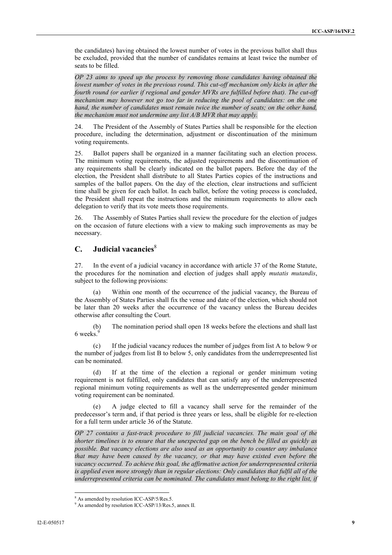the candidates) having obtained the lowest number of votes in the previous ballot shall thus be excluded, provided that the number of candidates remains at least twice the number of seats to be filled.

*OP 23 aims to speed up the process by removing those candidates having obtained the lowest number of votes in the previous round. This cut-off mechanism only kicks in after the fourth round (or earlier if regional and gender MVRs are fulfilled before that). The cut-off mechanism may however not go too far in reducing the pool of candidates: on the one hand, the number of candidates must remain twice the number of seats; on the other hand, the mechanism must not undermine any list A/B MVR that may apply.*

24. The President of the Assembly of States Parties shall be responsible for the election procedure, including the determination, adjustment or discontinuation of the minimum voting requirements.

25. Ballot papers shall be organized in a manner facilitating such an election process. The minimum voting requirements, the adjusted requirements and the discontinuation of any requirements shall be clearly indicated on the ballot papers. Before the day of the election, the President shall distribute to all States Parties copies of the instructions and samples of the ballot papers. On the day of the election, clear instructions and sufficient time shall be given for each ballot. In each ballot, before the voting process is concluded, the President shall repeat the instructions and the minimum requirements to allow each delegation to verify that its vote meets those requirements.

26. The Assembly of States Parties shall review the procedure for the election of judges on the occasion of future elections with a view to making such improvements as may be necessary.

## **C. Judicial vacancies**<sup>8</sup>

27. In the event of a judicial vacancy in accordance with article 37 of the Rome Statute, the procedures for the nomination and election of judges shall apply *mutatis mutandis*, subject to the following provisions:

(a) Within one month of the occurrence of the judicial vacancy, the Bureau of the Assembly of States Parties shall fix the venue and date of the election, which should not be later than 20 weeks after the occurrence of the vacancy unless the Bureau decides otherwise after consulting the Court.

(b) The nomination period shall open 18 weeks before the elections and shall last 6 weeks.

(c) If the judicial vacancy reduces the number of judges from list A to below 9 or the number of judges from list B to below 5, only candidates from the underrepresented list can be nominated.

(d) If at the time of the election a regional or gender minimum voting requirement is not fulfilled, only candidates that can satisfy any of the underrepresented regional minimum voting requirements as well as the underrepresented gender minimum voting requirement can be nominated.

A judge elected to fill a vacancy shall serve for the remainder of the predecessor's term and, if that period is three years or less, shall be eligible for re-election for a full term under article 36 of the Statute.

*OP 27 contains a fast-track procedure to fill judicial vacancies. The main goal of the shorter timelines is to ensure that the unexpected gap on the bench be filled as quickly as possible. But vacancy elections are also used as an opportunity to counter any imbalance that may have been caused by the vacancy, or that may have existed even before the vacancy occurred. To achieve this goal, the affirmative action for underrepresented criteria is applied even more strongly than in regular elections: Only candidates that fulfil all of the underrepresented criteria can be nominated. The candidates must belong to the right list, if*

 $8$  As amended by resolution ICC-ASP/5/Res.5. 9 As amended by resolution ICC-ASP/13/Res.5, annex II.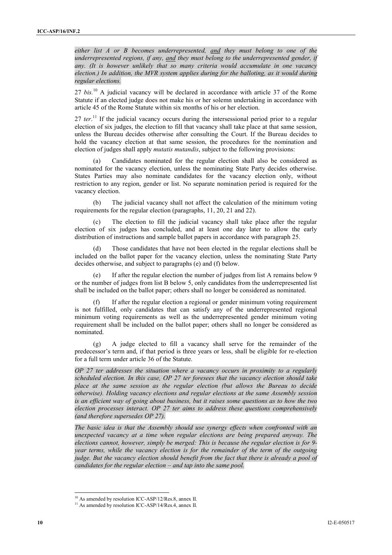*either list A or B becomes underrepresented, and they must belong to one of the underrepresented regions, if any, and they must belong to the underrepresented gender, if any. (It is however unlikely that so many criteria would accumulate in one vacancy election.) In addition, the MVR system applies during for the balloting, as it would during regular elections.*

27 *bis.*<sup>10</sup> A judicial vacancy will be declared in accordance with article 37 of the Rome Statute if an elected judge does not make his or her solemn undertaking in accordance with article 45 of the Rome Statute within six months of his or her election.

27 *ter*.<sup>11</sup> If the judicial vacancy occurs during the intersessional period prior to a regular election of six judges, the election to fill that vacancy shall take place at that same session, unless the Bureau decides otherwise after consulting the Court. If the Bureau decides to hold the vacancy election at that same session, the procedures for the nomination and election of judges shall apply *mutatis mutandis*, subject to the following provisions:

(a) Candidates nominated for the regular election shall also be considered as nominated for the vacancy election, unless the nominating State Party decides otherwise. States Parties may also nominate candidates for the vacancy election only, without restriction to any region, gender or list. No separate nomination period is required for the vacancy election.

(b) The judicial vacancy shall not affect the calculation of the minimum voting requirements for the regular election (paragraphs, 11, 20, 21 and 22).

(c) The election to fill the judicial vacancy shall take place after the regular election of six judges has concluded, and at least one day later to allow the early distribution of instructions and sample ballot papers in accordance with paragraph 25.

(d) Those candidates that have not been elected in the regular elections shall be included on the ballot paper for the vacancy election, unless the nominating State Party decides otherwise, and subject to paragraphs (e) and (f) below.

If after the regular election the number of judges from list A remains below 9 or the number of judges from list B below 5, only candidates from the underrepresented list shall be included on the ballot paper; others shall no longer be considered as nominated.

If after the regular election a regional or gender minimum voting requirement is not fulfilled, only candidates that can satisfy any of the underrepresented regional minimum voting requirements as well as the underrepresented gender minimum voting requirement shall be included on the ballot paper; others shall no longer be considered as nominated.

(g) A judge elected to fill a vacancy shall serve for the remainder of the predecessor's term and, if that period is three years or less, shall be eligible for re-election for a full term under article 36 of the Statute.

*OP 27 ter addresses the situation where a vacancy occurs in proximity to a regularly scheduled election. In this case, OP 27 ter foresees that the vacancy election should take place at the same session as the regular election (but allows the Bureau to decide otherwise). Holding vacancy elections and regular elections at the same Assembly session is an efficient way of going about business, but it raises some questions as to how the two election processes interact. OP 27 ter aims to address these questions comprehensively (and therefore supersedes OP 27).*

*The basic idea is that the Assembly should use synergy effects when confronted with an unexpected vacancy at a time when regular elections are being prepared anyway. The elections cannot, however, simply be merged: This is because the regular election is for 9 year terms, while the vacancy election is for the remainder of the term of the outgoing judge. But the vacancy election should benefit from the fact that there is already a pool of candidates for the regular election – and tap into the same pool.*

<sup>&</sup>lt;sup>10</sup> As amended by resolution ICC-ASP/12/Res.8, annex II. <sup>11</sup> As amended by resolution ICC-ASP/14/Res.4, annex II.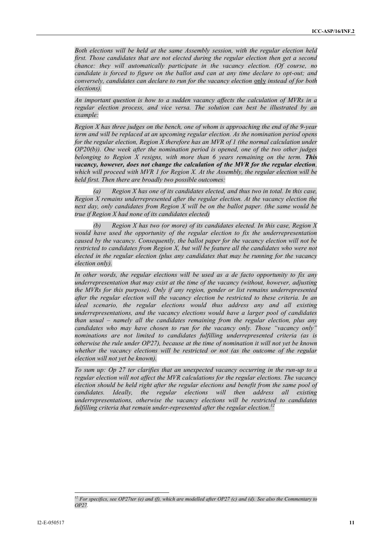*Both elections will be held at the same Assembly session, with the regular election held first. Those candidates that are not elected during the regular election then get a second chance: they will automatically participate in the vacancy election. (Of course, no candidate is forced to figure on the ballot and can at any time declare to opt-out; and conversely, candidates can declare to run for the vacancy election* only *instead of for both elections).*

*An important question is how to a sudden vacancy affects the calculation of MVRs in a regular election process, and vice versa. The solution can best be illustrated by an example:*

*Region X has three judges on the bench, one of whom is approaching the end of the 9-year term and will be replaced at an upcoming regular election. As the nomination period opens for the regular election, Region X therefore has an MVR of 1 (the normal calculation under OP20(b)). One week after the nomination period is opened, one of the two other judges belonging to Region X resigns, with more than 6 years remaining on the term. This vacancy, however, does not change the calculation of the MVR for the regular election, which will proceed with MVR 1 for Region X. At the Assembly, the regular election will be held first. Then there are broadly two possible outcomes:*

*(a) Region X has one of its candidates elected, and thus two in total. In this case, Region X remains underrepresented after the regular election. At the vacancy election the next day, only candidates from Region X will be on the ballot paper. (the same would be true if Region X had none of its candidates elected)*

*(b) Region X has two (or more) of its candidates elected. In this case, Region X would have used the opportunity of the regular election to fix the underrepresentation caused by the vacancy. Consequently, the ballot paper for the vacancy election will not be restricted to candidates from Region X, but will be feature all the candidates who were not elected in the regular election (plus any candidates that may be running for the vacancy election only).*

*In other words, the regular elections will be used as a de facto opportunity to fix any underrepresentation that may exist at the time of the vacancy (without, however, adjusting the MVRs for this purpose). Only if any region, gender or list remains underrepresented after the regular election will the vacancy election be restricted to these criteria. In an ideal scenario, the regular elections would thus address any and all existing underrepresentations, and the vacancy elections would have a larger pool of candidates than usual – namely all the candidates remaining from the regular election, plus any candidates who may have chosen to run for the vacancy only. Those "vacancy only" nominations are not limited to candidates fulfilling underrepresented criteria (as is otherwise the rule under OP27), because at the time of nomination it will not yet be known whether the vacancy elections will be restricted or not (as the outcome of the regular election will not yet be known).*

*To sum up: Op 27 ter clarifies that an unexpected vacancy occurring in the run-up to a regular election will not affect the MVR calculations for the regular elections. The vacancy election should be held right after the regular elections and benefit from the same pool of candidates. Ideally, the regular elections will then address all existing underrepresentations, otherwise the vacancy elections will be restricted to candidates* fulfilling criteria that remain under-represented after the regular election.<sup>1</sup>

*<sup>12</sup> For specifics, see OP27ter (e) and (f), which are modelled after OP27 (c) and (d). See also the Commentary to OP27.*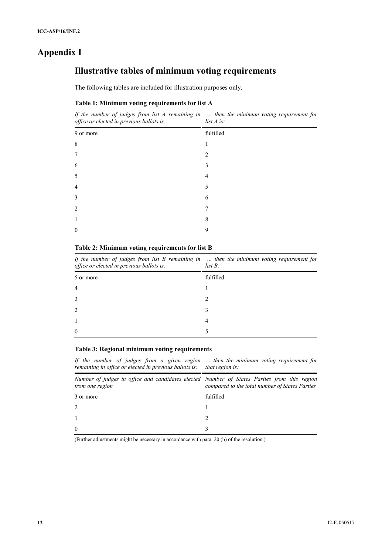# **Appendix I**

# **Illustrative tables of minimum voting requirements**

The following tables are included for illustration purposes only.

#### **Table 1: Minimum voting requirements for list A**

*If the number of judges from list A remaining in … then the minimum voting requirement for office or elected in previous ballots is: list A is:*

| fulfilled      |
|----------------|
|                |
| $\overline{2}$ |
| 3              |
| 4              |
| 5              |
| 6              |
| 7              |
| 8              |
| 9              |
|                |

#### **Table 2: Minimum voting requirements for list B**

| If the number of judges from list $B$ remaining in $\ldots$ then the minimum voting requirement for<br>office or elected in previous ballots is: | $list B$ : |
|--------------------------------------------------------------------------------------------------------------------------------------------------|------------|
| 5 or more                                                                                                                                        | fulfilled  |
|                                                                                                                                                  |            |
|                                                                                                                                                  |            |
|                                                                                                                                                  | 3          |
|                                                                                                                                                  | 4          |
| $\Omega$                                                                                                                                         |            |

#### **Table 3: Regional minimum voting requirements**

*If the number of judges from a given region … then the minimum voting requirement for remaining in office or elected in previous ballots is: that region is:*

| Number of judges in office and candidates elected Number of States Parties from this region<br><i>from one region</i> | compared to the total number of States Parties |
|-----------------------------------------------------------------------------------------------------------------------|------------------------------------------------|
| 3 or more                                                                                                             | fulfilled                                      |
| 2                                                                                                                     |                                                |
|                                                                                                                       |                                                |
| $\theta$                                                                                                              |                                                |

(Further adjustments might be necessary in accordance with para. 20 (b) of the resolution.)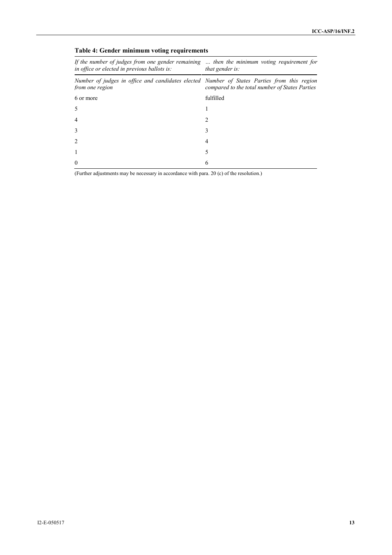| If the number of judges from one gender remaining  then the minimum voting requirement for<br><i>in office or elected in previous ballots is:</i> | that gender is:                                |  |  |
|---------------------------------------------------------------------------------------------------------------------------------------------------|------------------------------------------------|--|--|
| Number of judges in office and candidates elected Number of States Parties from this region<br>from one region                                    | compared to the total number of States Parties |  |  |
| 6 or more                                                                                                                                         | fulfilled                                      |  |  |
|                                                                                                                                                   |                                                |  |  |
|                                                                                                                                                   |                                                |  |  |
|                                                                                                                                                   |                                                |  |  |
|                                                                                                                                                   |                                                |  |  |
|                                                                                                                                                   |                                                |  |  |
| $\Omega$                                                                                                                                          | <sub>t</sub>                                   |  |  |

### **Table 4: Gender minimum voting requirements**

(Further adjustments may be necessary in accordance with para. 20 (c) of the resolution.)